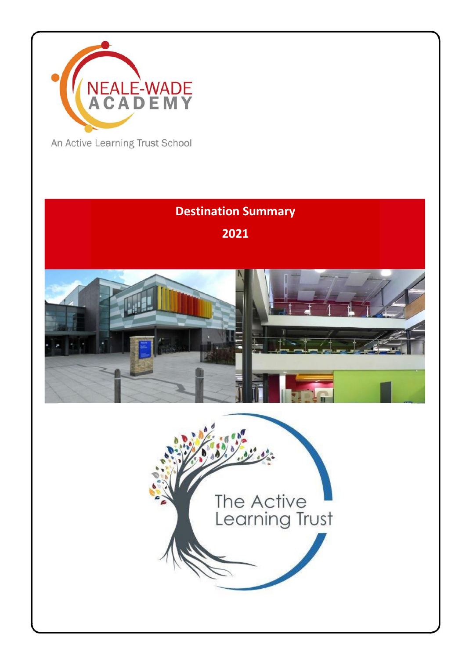

An Active Learning Trust School

# **Destination Summary 2021**



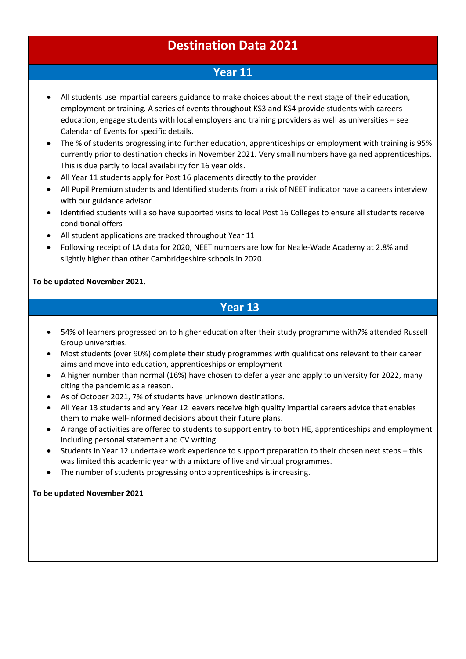#### **Destination Data 2021**

#### **Year 11**

- All students use impartial careers guidance to make choices about the next stage of their education, employment or training. A series of events throughout KS3 and KS4 provide students with careers education, engage students with local employers and training providers as well as universities – see Calendar of Events for specific details.
- The % of students progressing into further education, apprenticeships or employment with training is 95% currently prior to destination checks in November 2021. Very small numbers have gained apprenticeships. This is due partly to local availability for 16 year olds.
- All Year 11 students apply for Post 16 placements directly to the provider
- All Pupil Premium students and Identified students from a risk of NEET indicator have a careers interview with our guidance advisor
- Identified students will also have supported visits to local Post 16 Colleges to ensure all students receive conditional offers
- All student applications are tracked throughout Year 11
- Following receipt of LA data for 2020, NEET numbers are low for Neale-Wade Academy at 2.8% and slightly higher than other Cambridgeshire schools in 2020.

#### **To be updated November 2021.**

#### **Year 13**

- 54% of learners progressed on to higher education after their study programme with7% attended Russell Group universities.
- Most students (over 90%) complete their study programmes with qualifications relevant to their career aims and move into education, apprenticeships or employment
- A higher number than normal (16%) have chosen to defer a year and apply to university for 2022, many citing the pandemic as a reason.
- As of October 2021, 7% of students have unknown destinations.
- All Year 13 students and any Year 12 leavers receive high quality impartial careers advice that enables them to make well-informed decisions about their future plans.
- A range of activities are offered to students to support entry to both HE, apprenticeships and employment including personal statement and CV writing
- Students in Year 12 undertake work experience to support preparation to their chosen next steps this was limited this academic year with a mixture of live and virtual programmes.
- The number of students progressing onto apprenticeships is increasing.

**To be updated November 2021**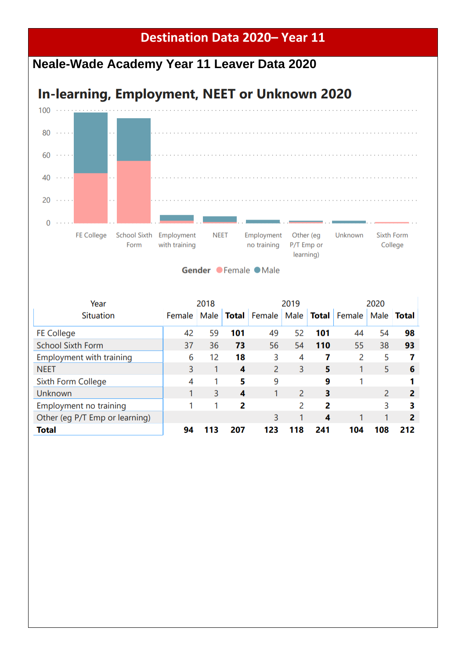### **Destination Data 2020– Year 11**

## **Neale-Wade Academy Year 11 Leaver Data 2020**

# **In-learning, Employment, NEET or Unknown 2020**



Gender Female Male

| Year                            | 2018   |      |              | 2019   |      |              | 2020   |      |       |
|---------------------------------|--------|------|--------------|--------|------|--------------|--------|------|-------|
| <b>Situation</b>                | Female | Male | <b>Total</b> | Female | Male | <b>Total</b> | Female | Male | Total |
| <b>FE College</b>               | 42     | 59   | 101          | 49     | 52   | 101          | 44     | 54   | 98    |
| <b>School Sixth Form</b>        | 37     | 36   | 73           | 56     | 54   | 110          | 55     | 38   | 93    |
| <b>Employment with training</b> | 6      | 12   | 18           | 3      | 4    | 7            | 2      | 5    |       |
| <b>NEET</b>                     | 3      |      | 4            | 2      | 3    | 5            |        | 5    | 6     |
| Sixth Form College              | 4      |      | 5            | 9      |      | 9            |        |      |       |
| <b>Unknown</b>                  |        | 3    | 4            |        | 2    | 3            |        | 2    | 2     |
| Employment no training          |        |      | 2            |        | 2    | 2            |        | 3    | 3     |
| Other (eg P/T Emp or learning)  |        |      |              | 3      |      | 4            |        |      | 2     |
| <b>Total</b>                    | 94     | 113  | 207          | 123    | 118  | 241          | 104    | 108  | 212   |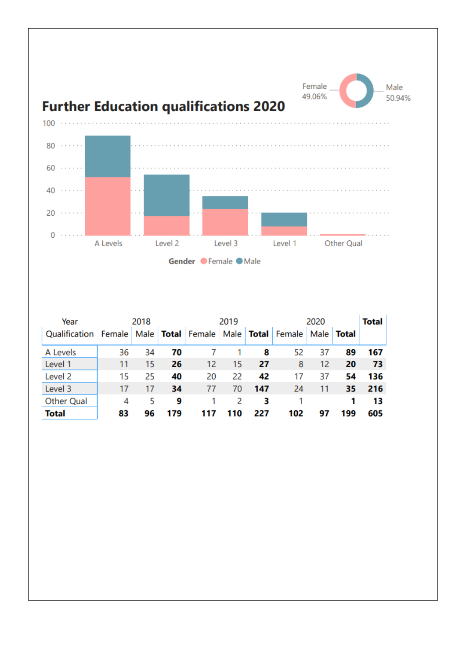

| Year              |        | 2018 |     |                              | 2019 |              | 2020   | <b>Total</b> |       |     |
|-------------------|--------|------|-----|------------------------------|------|--------------|--------|--------------|-------|-----|
| Qualification     | Female |      |     | Male   Total   Female   Male |      | <b>Total</b> | Female | Male         | Total |     |
| A Levels          | 36     | 34   | 70  |                              |      | 8            | 52     | 37           | 89    | 167 |
| Level 1           | 11     | 15   | 26  | 12                           | 15   | 27           | 8      | 12           | 20    | 73  |
| Level 2           | 15     | 25   | 40  | 20                           | 22   | 42           | 17     | 37           | 54    | 136 |
| Level 3           | 17     | 17   | 34  | 77                           | 70   | 147          | 24     | 11           | 35    | 216 |
| <b>Other Qual</b> | 4      | 5    | 9   |                              | 2    | з            |        |              |       | 13  |
| <b>Total</b>      | 83     | 96   | 179 |                              | 110  | 227          | 102    | 97           | 199   | 605 |